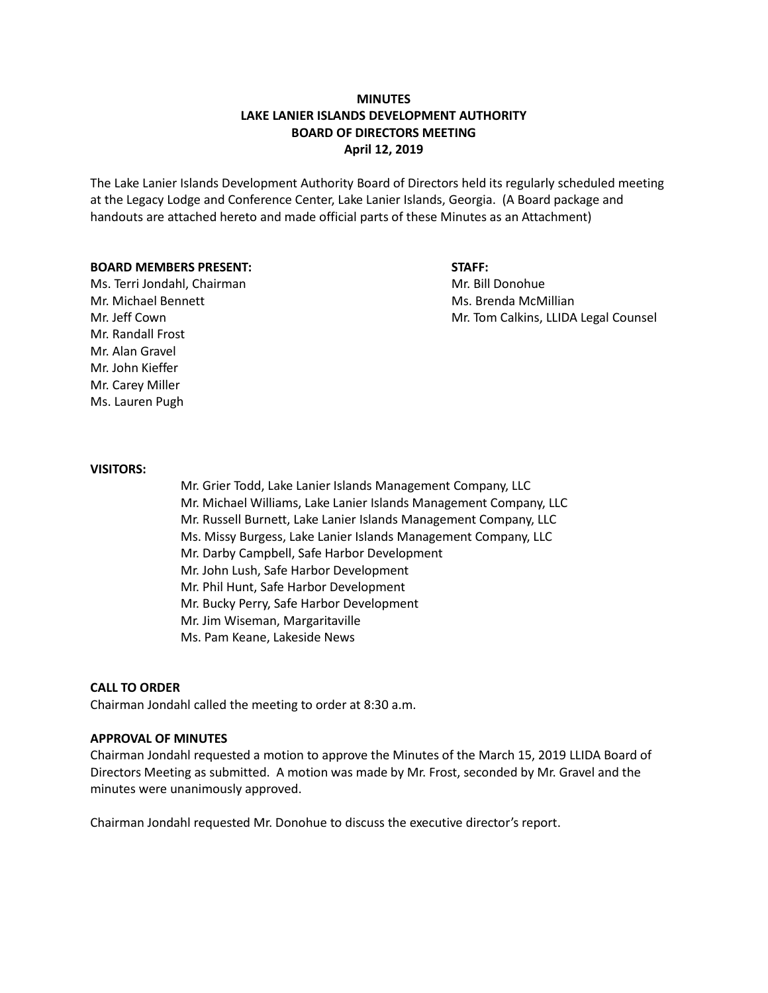## **MINUTES LAKE LANIER ISLANDS DEVELOPMENT AUTHORITY BOARD OF DIRECTORS MEETING April 12, 2019**

The Lake Lanier Islands Development Authority Board of Directors held its regularly scheduled meeting at the Legacy Lodge and Conference Center, Lake Lanier Islands, Georgia. (A Board package and handouts are attached hereto and made official parts of these Minutes as an Attachment)

#### **BOARD MEMBERS PRESENT: STAFF:**

Ms. Terri Jondahl, Chairman Mr. Bill Donohue Mr. Michael Bennett **Michael Bennett** Mr. Brenda McMillian Mr. Randall Frost Mr. Alan Gravel Mr. John Kieffer Mr. Carey Miller Ms. Lauren Pugh

# Mr. Jeff Cown **Mr. Tom Calkins, LLIDA Legal Counsel**

#### **VISITORS:**

Mr. Grier Todd, Lake Lanier Islands Management Company, LLC Mr. Michael Williams, Lake Lanier Islands Management Company, LLC Mr. Russell Burnett, Lake Lanier Islands Management Company, LLC Ms. Missy Burgess, Lake Lanier Islands Management Company, LLC Mr. Darby Campbell, Safe Harbor Development Mr. John Lush, Safe Harbor Development Mr. Phil Hunt, Safe Harbor Development Mr. Bucky Perry, Safe Harbor Development Mr. Jim Wiseman, Margaritaville Ms. Pam Keane, Lakeside News

#### **CALL TO ORDER**

Chairman Jondahl called the meeting to order at 8:30 a.m.

#### **APPROVAL OF MINUTES**

Chairman Jondahl requested a motion to approve the Minutes of the March 15, 2019 LLIDA Board of Directors Meeting as submitted. A motion was made by Mr. Frost, seconded by Mr. Gravel and the minutes were unanimously approved.

Chairman Jondahl requested Mr. Donohue to discuss the executive director's report.